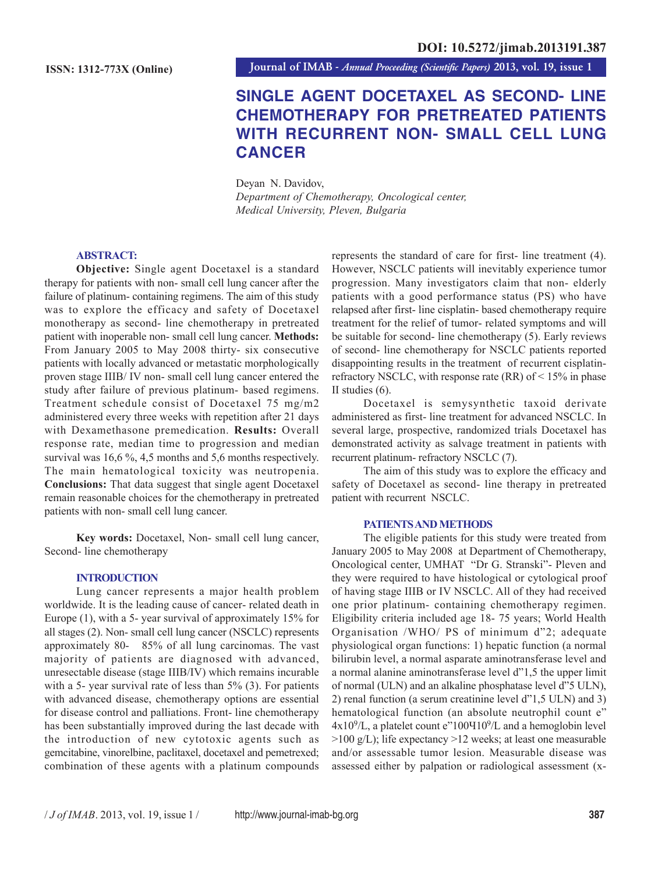**Journal of IMAB** *- Annual Proceeding (Scientific Papers)* **2013, vol. 19, issue 1**

# **SINGLE AGENT DOCETAXEL AS SECOND- LINE CHEMOTHERAPY FOR PRETREATED PATIENTS WITH RECURRENT NON- SMALL CELL LUNG CANCER**

Deyan N. Davidov, *Department of Chemotherapy, Oncological center, Medical University, Pleven, Bulgaria*

## **ABSTRACT:**

**Objective:** Single agent Docetaxel is a standard therapy for patients with non- small cell lung cancer after the failure of platinum- containing regimens. The aim of this study was to explore the efficacy and safety of Docetaxel monotherapy as second- line chemotherapy in pretreated patient with inoperable non- small cell lung cancer. **Methods:** From January 2005 to May 2008 thirty- six consecutive patients with locally advanced or metastatic morphologically proven stage IIIB/ IV non- small cell lung cancer entered the study after failure of previous platinum- based regimens. Treatment schedule consist of Docetaxel 75 mg/m2 administered every three weeks with repetition after 21 days with Dexamethasone premedication. **Results:** Overall response rate, median time to progression and median survival was 16,6 %, 4,5 months and 5,6 months respectively. The main hematological toxicity was neutropenia. **Conclusions:** That data suggest that single agent Docetaxel remain reasonable choices for the chemotherapy in pretreated patients with non- small cell lung cancer.

**Key words:** Docetaxel, Non- small cell lung cancer, Second- line chemotherapy

## **INTRODUCTION**

Lung cancer represents a major health problem worldwide. It is the leading cause of cancer- related death in Europe (1), with a 5- year survival of approximately 15% for all stages (2). Non- small cell lung cancer (NSCLC) represents approximately 80- 85% of all lung carcinomas. The vast majority of patients are diagnosed with advanced, unresectable disease (stage IIIB/IV) which remains incurable with a 5- year survival rate of less than 5% (3). For patients with advanced disease, chemotherapy options are essential for disease control and palliations. Front- line chemotherapy has been substantially improved during the last decade with the introduction of new cytotoxic agents such as gemcitabine, vinorelbine, paclitaxel, docetaxel and pemetrexed; combination of these agents with a platinum compounds

represents the standard of care for first- line treatment (4). However, NSCLC patients will inevitably experience tumor progression. Many investigators claim that non- elderly patients with a good performance status (PS) who have relapsed after first- line cisplatin- based chemotherapy require treatment for the relief of tumor- related symptoms and will be suitable for second- line chemotherapy (5). Early reviews of second- line chemotherapy for NSCLC patients reported disappointing results in the treatment of recurrent cisplatinrefractory NSCLC, with response rate (RR) of < 15% in phase II studies (6).

Docetaxel is semysynthetic taxoid derivate administered as first- line treatment for advanced NSCLC. In several large, prospective, randomized trials Docetaxel has demonstrated activity as salvage treatment in patients with recurrent platinum- refractory NSCLC (7).

The aim of this study was to explore the efficacy and safety of Docetaxel as second- line therapy in pretreated patient with recurrent NSCLC.

## **PATIENTS AND METHODS**

The eligible patients for this study were treated from January 2005 to May 2008 at Department of Chemotherapy, Oncological center, UMHAT "Dr G. Stranski"- Pleven and they were required to have histological or cytological proof of having stage IIIB or IV NSCLC. All of they had received one prior platinum- containing chemotherapy regimen. Eligibility criteria included age 18- 75 years; World Health Organisation /WHO/ PS of minimum d"2; adequate physiological organ functions: 1) hepatic function (a normal bilirubin level, a normal asparate aminotransferase level and a normal alanine aminotransferase level d"1,5 the upper limit of normal (ULN) and an alkaline phosphatase level d"5 ULN), 2) renal function (a serum creatinine level d"1,5 ULN) and 3) hematological function (an absolute neutrophil count e"  $4x10^9$ /L, a platelet count e"100Y $10^9$ /L and a hemoglobin level  $>100$  g/L); life expectancy  $>12$  weeks; at least one measurable and/or assessable tumor lesion. Measurable disease was assessed either by palpation or radiological assessment (x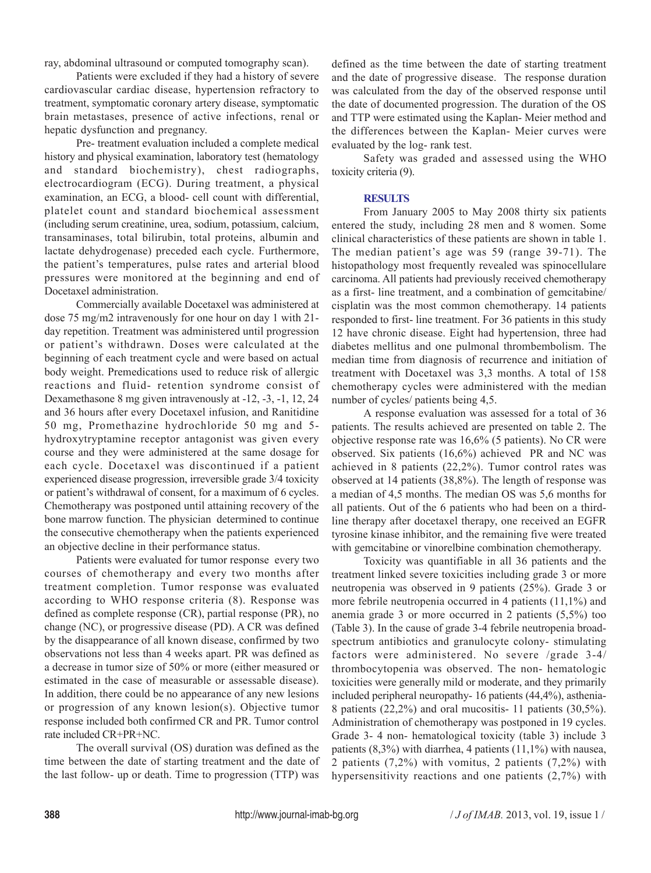ray, abdominal ultrasound or computed tomography scan).

Patients were excluded if they had a history of severe cardiovascular cardiac disease, hypertension refractory to treatment, symptomatic coronary artery disease, symptomatic brain metastases, presence of active infections, renal or hepatic dysfunction and pregnancy.

Pre- treatment evaluation included a complete medical history and physical examination, laboratory test (hematology and standard biochemistry), chest radiographs, electrocardiogram (ECG). During treatment, a physical examination, an ECG, a blood- cell count with differential, platelet count and standard biochemical assessment (including serum creatinine, urea, sodium, potassium, calcium, transaminases, total bilirubin, total proteins, albumin and lactate dehydrogenase) preceded each cycle. Furthermore, the patient's temperatures, pulse rates and arterial blood pressures were monitored at the beginning and end of Docetaxel administration.

Commercially available Docetaxel was administered at dose 75 mg/m2 intravenously for one hour on day 1 with 21 day repetition. Treatment was administered until progression or patient's withdrawn. Doses were calculated at the beginning of each treatment cycle and were based on actual body weight. Premedications used to reduce risk of allergic reactions and fluid- retention syndrome consist of Dexamethasone 8 mg given intravenously at -12, -3, -1, 12, 24 and 36 hours after every Docetaxel infusion, and Ranitidine 50 mg, Promethazine hydrochloride 50 mg and 5 hydroxytryptamine receptor antagonist was given every course and they were administered at the same dosage for each cycle. Docetaxel was discontinued if a patient experienced disease progression, irreversible grade 3/4 toxicity or patient's withdrawal of consent, for a maximum of 6 cycles. Chemotherapy was postponed until attaining recovery of the bone marrow function. The physician determined to continue the consecutive chemotherapy when the patients experienced an objective decline in their performance status.

Patients were evaluated for tumor response every two courses of chemotherapy and every two months after treatment completion. Tumor response was evaluated according to WHO response criteria (8). Response was defined as complete response (CR), partial response (PR), no change (NC), or progressive disease (PD). A CR was defined by the disappearance of all known disease, confirmed by two observations not less than 4 weeks apart. PR was defined as a decrease in tumor size of 50% or more (either measured or estimated in the case of measurable or assessable disease). In addition, there could be no appearance of any new lesions or progression of any known lesion(s). Objective tumor response included both confirmed CR and PR. Tumor control rate included CR+PR+NC.

The overall survival (OS) duration was defined as the time between the date of starting treatment and the date of the last follow- up or death. Time to progression (TTP) was

defined as the time between the date of starting treatment and the date of progressive disease. The response duration was calculated from the day of the observed response until the date of documented progression. The duration of the OS and TTP were estimated using the Kaplan- Meier method and the differences between the Kaplan- Meier curves were evaluated by the log- rank test.

Safety was graded and assessed using the WHO toxicity criteria (9).

## **RESULTS**

From January 2005 to May 2008 thirty six patients entered the study, including 28 men and 8 women. Some clinical characteristics of these patients are shown in table 1. The median patient's age was 59 (range 39-71). The histopathology most frequently revealed was spinocellulare carcinoma. All patients had previously received chemotherapy as a first- line treatment, and a combination of gemcitabine/ cisplatin was the most common chemotherapy. 14 patients responded to first- line treatment. For 36 patients in this study 12 have chronic disease. Eight had hypertension, three had diabetes mellitus and one pulmonal thrombembolism. The median time from diagnosis of recurrence and initiation of treatment with Docetaxel was 3,3 months. A total of 158 chemotherapy cycles were administered with the median number of cycles/ patients being 4,5.

A response evaluation was assessed for a total of 36 patients. The results achieved are presented on table 2. The objective response rate was 16,6% (5 patients). No CR were observed. Six patients (16,6%) achieved PR and NC was achieved in 8 patients (22,2%). Tumor control rates was observed at 14 patients (38,8%). The length of response was a median of 4,5 months. The median OS was 5,6 months for all patients. Out of the 6 patients who had been on a thirdline therapy after docetaxel therapy, one received an EGFR tyrosine kinase inhibitor, and the remaining five were treated with gemcitabine or vinorelbine combination chemotherapy.

Toxicity was quantifiable in all 36 patients and the treatment linked severe toxicities including grade 3 or more neutropenia was observed in 9 patients (25%). Grade 3 or more febrile neutropenia occurred in 4 patients (11,1%) and anemia grade 3 or more occurred in 2 patients (5,5%) too (Table 3). In the cause of grade 3-4 febrile neutropenia broadspectrum antibiotics and granulocyte colony- stimulating factors were administered. No severe /grade 3-4/ thrombocytopenia was observed. The non- hematologic toxicities were generally mild or moderate, and they primarily included peripheral neuropathy- 16 patients (44,4%), asthenia-8 patients (22,2%) and oral mucositis- 11 patients (30,5%). Administration of chemotherapy was postponed in 19 cycles. Grade 3- 4 non- hematological toxicity (table 3) include 3 patients  $(8,3\%)$  with diarrhea, 4 patients  $(11,1\%)$  with nausea, 2 patients (7,2%) with vomitus, 2 patients (7,2%) with hypersensitivity reactions and one patients (2,7%) with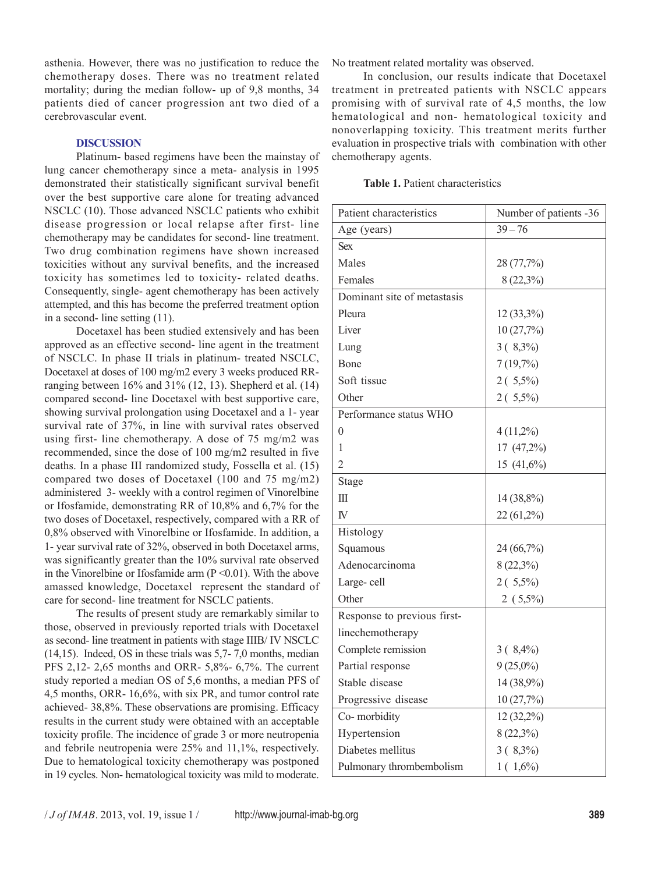asthenia. However, there was no justification to reduce the chemotherapy doses. There was no treatment related mortality; during the median follow- up of 9,8 months, 34 patients died of cancer progression ant two died of a cerebrovascular event.

## **DISCUSSION**

Platinum- based regimens have been the mainstay of lung cancer chemotherapy since a meta- analysis in 1995 demonstrated their statistically significant survival benefit over the best supportive care alone for treating advanced NSCLC (10). Those advanced NSCLC patients who exhibit disease progression or local relapse after first- line chemotherapy may be candidates for second- line treatment. Two drug combination regimens have shown increased toxicities without any survival benefits, and the increased toxicity has sometimes led to toxicity- related deaths. Consequently, single- agent chemotherapy has been actively attempted, and this has become the preferred treatment option in a second- line setting (11).

Docetaxel has been studied extensively and has been approved as an effective second- line agent in the treatment of NSCLC. In phase II trials in platinum- treated NSCLC, Docetaxel at doses of 100 mg/m2 every 3 weeks produced RRranging between 16% and 31% (12, 13). Shepherd et al. (14) compared second- line Docetaxel with best supportive care, showing survival prolongation using Docetaxel and a 1- year survival rate of 37%, in line with survival rates observed using first- line chemotherapy. A dose of 75 mg/m2 was recommended, since the dose of 100 mg/m2 resulted in five deaths. In a phase III randomized study, Fossella et al. (15) compared two doses of Docetaxel (100 and 75 mg/m2) administered 3- weekly with a control regimen of Vinorelbine or Ifosfamide, demonstrating RR of 10,8% and 6,7% for the two doses of Docetaxel, respectively, compared with a RR of 0,8% observed with Vinorelbine or Ifosfamide. In addition, a 1- year survival rate of 32%, observed in both Docetaxel arms, was significantly greater than the 10% survival rate observed in the Vinorelbine or Ifosfamide arm  $(P < 0.01)$ . With the above amassed knowledge, Docetaxel represent the standard of care for second- line treatment for NSCLC patients.

The results of present study are remarkably similar to those, observed in previously reported trials with Docetaxel as second- line treatment in patients with stage IIIB/ IV NSCLC (14,15). Indeed, OS in these trials was 5,7- 7,0 months, median PFS 2,12- 2,65 months and ORR- 5,8%- 6,7%. The current study reported a median OS of 5,6 months, a median PFS of 4,5 months, ORR- 16,6%, with six PR, and tumor control rate achieved- 38,8%. These observations are promising. Efficacy results in the current study were obtained with an acceptable toxicity profile. The incidence of grade 3 or more neutropenia and febrile neutropenia were 25% and 11,1%, respectively. Due to hematological toxicity chemotherapy was postponed in 19 cycles. Non- hematological toxicity was mild to moderate. No treatment related mortality was observed.

In conclusion, our results indicate that Docetaxel treatment in pretreated patients with NSCLC appears promising with of survival rate of 4,5 months, the low hematological and non- hematological toxicity and nonoverlapping toxicity. This treatment merits further evaluation in prospective trials with combination with other chemotherapy agents.

| <b>Table 1.</b> Patient characteristics |
|-----------------------------------------|
|                                         |

| Patient characteristics     | Number of patients -36 |
|-----------------------------|------------------------|
| Age (years)                 | $39 - 76$              |
| <b>Sex</b>                  |                        |
| Males                       | 28 (77,7%)             |
| Females                     | $8(22,3\%)$            |
| Dominant site of metastasis |                        |
| Pleura                      | 12 (33,3%)             |
| Liver                       | 10(27,7%)              |
| Lung                        | $3(8,3\%)$             |
| <b>B</b> one                | 7(19,7%)               |
| Soft tissue                 | $2(5,5\%)$             |
| Other                       | $2(5,5\%)$             |
| Performance status WHO      |                        |
| 0                           | $4(11,2\%)$            |
| 1                           | 17 (47,2%)             |
| $\overline{2}$              | 15 (41,6%)             |
| Stage                       |                        |
| Ш                           | 14 (38,8%)             |
| IV <sub></sub>              | 22 (61,2%)             |
| Histology                   |                        |
| Squamous                    | 24 (66,7%)             |
| Adenocarcinoma              | 8 (22,3%)              |
| Large-cell                  | $2(5,5\%)$             |
| Other                       | $2(5,5\%)$             |
| Response to previous first- |                        |
| linechemotherapy            |                        |
| Complete remission          | $3(8,4\%)$             |
| Partial response            | $9(25,0\%)$            |
| Stable disease              | 14 (38,9%)             |
| Progressive disease         | 10 (27,7%)             |
| Co-morbidity                | 12 (32,2%)             |
| Hypertension                | $8(22,3\%)$            |
| Diabetes mellitus           | $3(8,3\%)$             |
| Pulmonary thrombembolism    | $1(1,6\%)$             |